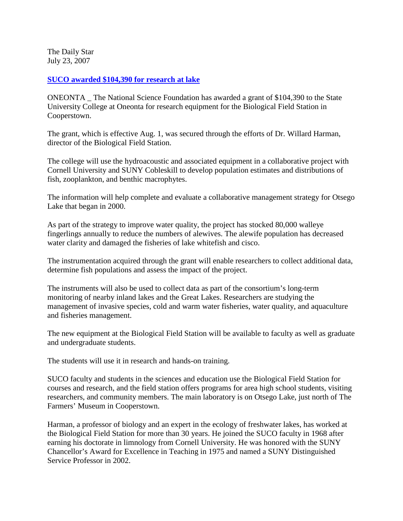The Daily Star July 23, 2007

## **[SUCO awarded \\$104,390 for research at lake](http://www.thedailystar.com/local/x112885481/SUCO-awarded-104-390-for-research-at-lake)**

ONEONTA \_ The National Science Foundation has awarded a grant of \$104,390 to the State University College at Oneonta for research equipment for the Biological Field Station in Cooperstown.

The grant, which is effective Aug. 1, was secured through the efforts of Dr. Willard Harman, director of the Biological Field Station.

The college will use the hydroacoustic and associated equipment in a collaborative project with Cornell University and SUNY Cobleskill to develop population estimates and distributions of fish, zooplankton, and benthic macrophytes.

The information will help complete and evaluate a collaborative management strategy for Otsego Lake that began in 2000.

As part of the strategy to improve water quality, the project has stocked 80,000 walleye fingerlings annually to reduce the numbers of alewives. The alewife population has decreased water clarity and damaged the fisheries of lake whitefish and cisco.

The instrumentation acquired through the grant will enable researchers to collect additional data, determine fish populations and assess the impact of the project.

The instruments will also be used to collect data as part of the consortium's long-term monitoring of nearby inland lakes and the Great Lakes. Researchers are studying the management of invasive species, cold and warm water fisheries, water quality, and aquaculture and fisheries management.

The new equipment at the Biological Field Station will be available to faculty as well as graduate and undergraduate students.

The students will use it in research and hands-on training.

SUCO faculty and students in the sciences and education use the Biological Field Station for courses and research, and the field station offers programs for area high school students, visiting researchers, and community members. The main laboratory is on Otsego Lake, just north of The Farmers' Museum in Cooperstown.

Harman, a professor of biology and an expert in the ecology of freshwater lakes, has worked at the Biological Field Station for more than 30 years. He joined the SUCO faculty in 1968 after earning his doctorate in limnology from Cornell University. He was honored with the SUNY Chancellor's Award for Excellence in Teaching in 1975 and named a SUNY Distinguished Service Professor in 2002.